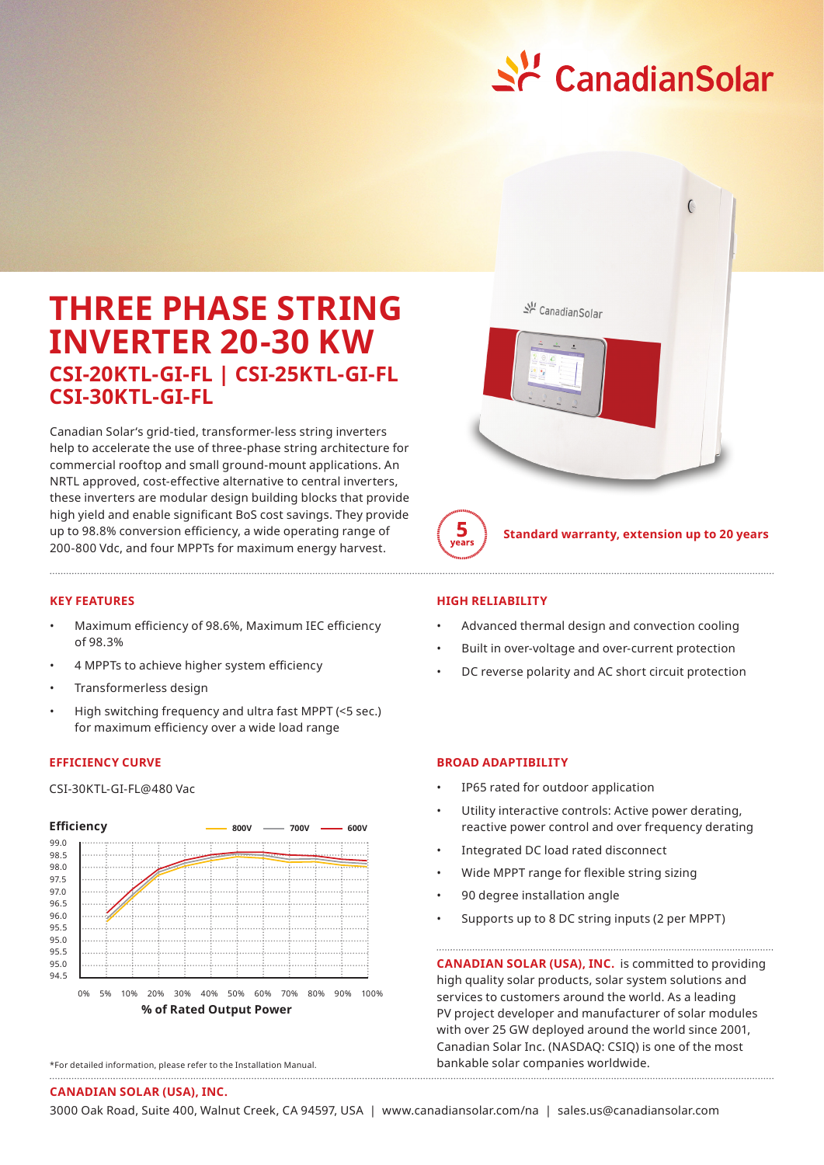

# **THREE PHASE STRING INVERTER 20-30 KW CSI-20KTL-GI-FL | CSI-25KTL-GI-FL CSI-30KTL-GI-FL**

Canadian Solar's grid-tied, transformer-less string inverters help to accelerate the use of three-phase string architecture for commercial rooftop and small ground-mount applications. An NRTL approved, cost-effective alternative to central inverters, these inverters are modular design building blocks that provide high yield and enable significant BoS cost savings. They provide up to 98.8% conversion efficiency, a wide operating range of 200-800 Vdc, and four MPPTs for maximum energy harvest.

### **KEY FEATURES**

- Maximum efficiency of 98.6%, Maximum IEC efficiency of 98.3%
- 4 MPPTs to achieve higher system efficiency
- Transformerless design
- High switching frequency and ultra fast MPPT (<5 sec.) for maximum efficiency over a wide load range

## **EFFICIENCY CURVE**

CSI-30KTL-GI-FL@480 Vac



<sup>\*</sup>For detailed information, please refer to the Installation Manual.



**Standard warranty, extension up to 20 years**

### **HIGH RELIABILITY**

 $\frac{5}{\sqrt{2}}$ 

- Advanced thermal design and convection cooling
- Built in over-voltage and over-current protection
- DC reverse polarity and AC short circuit protection

## **BROAD ADAPTIBILITY**

- IP65 rated for outdoor application
- Utility interactive controls: Active power derating, reactive power control and over frequency derating
- Integrated DC load rated disconnect
- Wide MPPT range for flexible string sizing
- 90 degree installation angle
- Supports up to 8 DC string inputs (2 per MPPT)

**CANADIAN SOLAR (USA), INC.** is committed to providing high quality solar products, solar system solutions and services to customers around the world. As a leading PV project developer and manufacturer of solar modules with over 25 GW deployed around the world since 2001, Canadian Solar Inc. (NASDAQ: CSIQ) is one of the most bankable solar companies worldwide.

#### **CANADIAN SOLAR (USA), INC.**